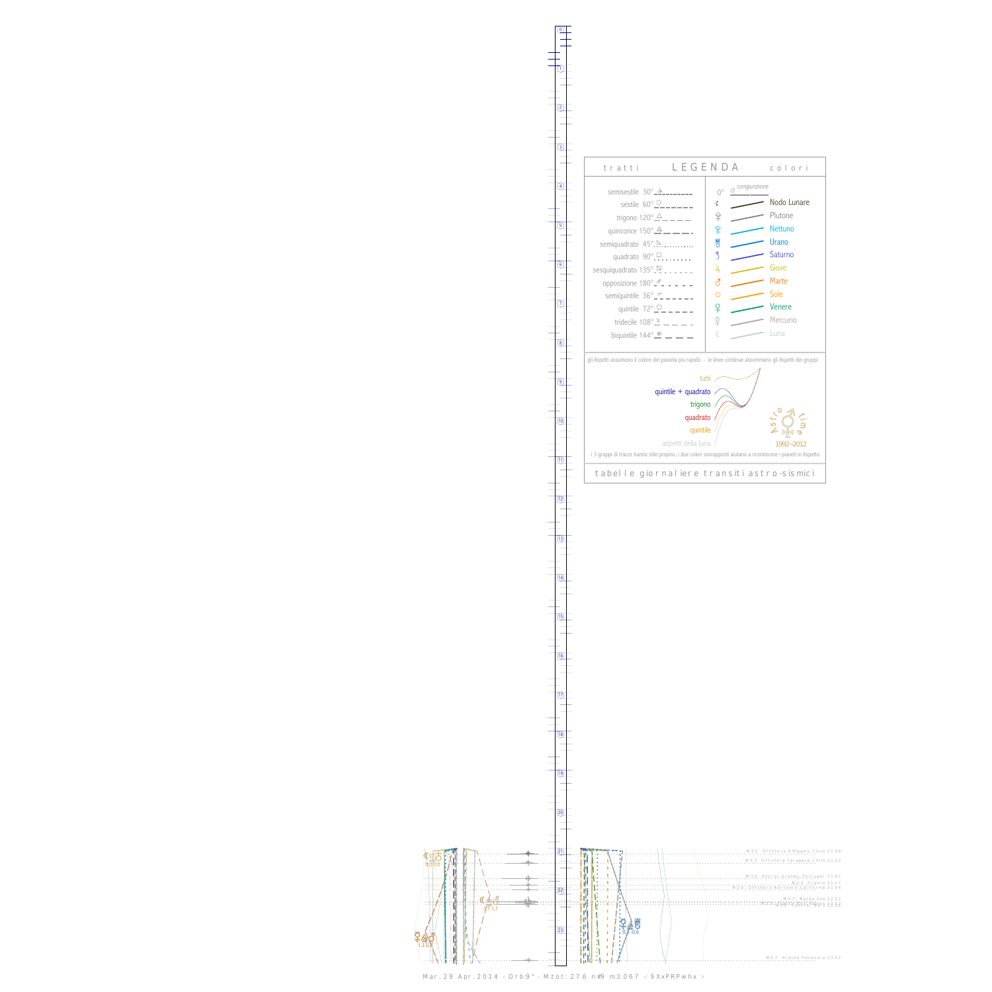0

1



13



Mar. 29 Apr. 2014 - Orb:9° - M.tot: 27.6 n#9 m:3.067 -: 9XxPRPwhx :-